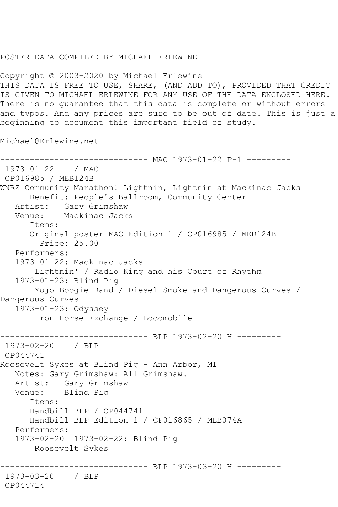## POSTER DATA COMPILED BY MICHAEL ERLEWINE

Copyright © 2003-2020 by Michael Erlewine THIS DATA IS FREE TO USE, SHARE, (AND ADD TO), PROVIDED THAT CREDIT IS GIVEN TO MICHAEL ERLEWINE FOR ANY USE OF THE DATA ENCLOSED HERE. There is no guarantee that this data is complete or without errors and typos. And any prices are sure to be out of date. This is just a beginning to document this important field of study.

Michael@Erlewine.net

------------------------------ MAC 1973-01-22 P-1 --------- 1973-01-22 / MAC CP016985 / MEB124B WNRZ Community Marathon! Lightnin, Lightnin at Mackinac Jacks Benefit: People's Ballroom, Community Center Artist: Gary Grimshaw<br>Venue: Mackinac Jack Mackinac Jacks Items: Original poster MAC Edition 1 / CP016985 / MEB124B Price: 25.00 Performers: 1973-01-22: Mackinac Jacks Lightnin' / Radio King and his Court of Rhythm 1973-01-23: Blind Pig Mojo Boogie Band / Diesel Smoke and Dangerous Curves / Dangerous Curves 1973-01-23: Odyssey Iron Horse Exchange / Locomobile ------------------------------ BLP 1973-02-20 H --------- 1973-02-20 / BLP CP044741 Roosevelt Sykes at Blind Pig - Ann Arbor, MI Notes: Gary Grimshaw: All Grimshaw. Artist: Gary Grimshaw<br>Venue: Blind Pig Blind Pig Items: Handbill BLP / CP044741 Handbill BLP Edition 1 / CP016865 / MEB074A Performers: 1973-02-20 1973-02-22: Blind Pig Roosevelt Sykes --------------- BLP 1973-03-20 H ---------1973-03-20 / BLP CP044714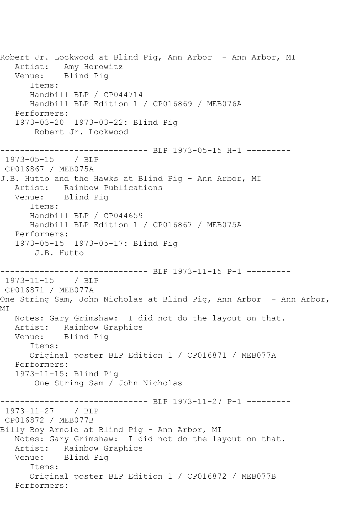Robert Jr. Lockwood at Blind Pig, Ann Arbor - Ann Arbor, MI Artist: Amy Horowitz Venue: Blind Pig Items: Handbill BLP / CP044714 Handbill BLP Edition 1 / CP016869 / MEB076A Performers: 1973-03-20 1973-03-22: Blind Pig Robert Jr. Lockwood ------------------------------ BLP 1973-05-15 H-1 --------- 1973-05-15 / BLP CP016867 / MEB075A J.B. Hutto and the Hawks at Blind Pig - Ann Arbor, MI Artist: Rainbow Publications Venue: Blind Pig Items: Handbill BLP / CP044659 Handbill BLP Edition 1 / CP016867 / MEB075A Performers: 1973-05-15 1973-05-17: Blind Pig J.B. Hutto ------------------------------ BLP 1973-11-15 P-1 --------- 1973-11-15 / BLP CP016871 / MEB077A One String Sam, John Nicholas at Blind Pig, Ann Arbor - Ann Arbor, MI Notes: Gary Grimshaw: I did not do the layout on that. Artist: Rainbow Graphics<br>Venue: Blind Pig Blind Pig Items: Original poster BLP Edition 1 / CP016871 / MEB077A Performers: 1973-11-15: Blind Pig One String Sam / John Nicholas ----------- BLP 1973-11-27 P-1 ---------1973-11-27 / BLP CP016872 / MEB077B Billy Boy Arnold at Blind Pig - Ann Arbor, MI Notes: Gary Grimshaw: I did not do the layout on that. Artist: Rainbow Graphics Venue: Blind Pig Items: Original poster BLP Edition 1 / CP016872 / MEB077B Performers: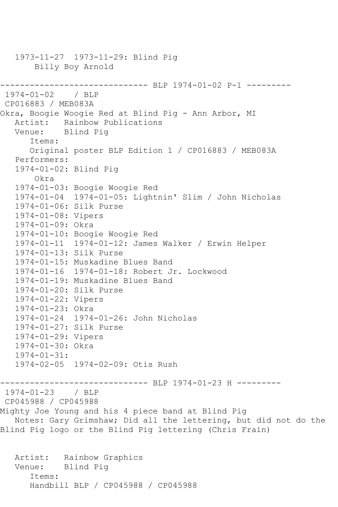1973-11-27 1973-11-29: Blind Pig Billy Boy Arnold ------------------------------ BLP 1974-01-02 P-1 --------- 1974-01-02 / BLP CP016883 / MEB083A Okra, Boogie Woogie Red at Blind Pig - Ann Arbor, MI Artist: Rainbow Publications Venue: Blind Pig Items: Original poster BLP Edition 1 / CP016883 / MEB083A Performers: 1974-01-02: Blind Pig Okra 1974-01-03: Boogie Woogie Red 1974-01-04 1974-01-05: Lightnin' Slim / John Nicholas 1974-01-06: Silk Purse 1974-01-08: Vipers 1974-01-09: Okra 1974-01-10: Boogie Woogie Red 1974-01-11 1974-01-12: James Walker / Erwin Helper 1974-01-13: Silk Purse 1974-01-15: Muskadine Blues Band 1974-01-16 1974-01-18: Robert Jr. Lockwood 1974-01-19: Muskadine Blues Band 1974-01-20: Silk Purse 1974-01-22: Vipers 1974-01-23: Okra 1974-01-24 1974-01-26: John Nicholas 1974-01-27: Silk Purse 1974-01-29: Vipers 1974-01-30: Okra  $1974 - 01 - 31:$  1974-02-05 1974-02-09: Otis Rush ------------------------------ BLP 1974-01-23 H --------- 1974-01-23 / BLP CP045988 / CP045988 Mighty Joe Young and his 4 piece band at Blind Pig Notes: Gary Grimshaw; Did all the lettering, but did not do the Blind Pig logo or the Blind Pig lettering (Chris Frain) Artist: Rainbow Graphics Venue: Blind Pig Items: Handbill BLP / CP045988 / CP045988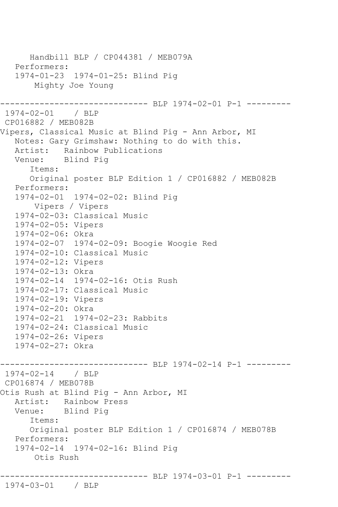```
 Handbill BLP / CP044381 / MEB079A
    Performers:
    1974-01-23 1974-01-25: Blind Pig
        Mighty Joe Young
                    ------------------------------ BLP 1974-02-01 P-1 ---------
1974-02-01 / BLP 
CP016882 / MEB082B
Vipers, Classical Music at Blind Pig - Ann Arbor, MI
   Notes: Gary Grimshaw: Nothing to do with this.
   Artist: Rainbow Publications
   Venue: Blind Pig
       Items:
       Original poster BLP Edition 1 / CP016882 / MEB082B
   Performers:
   1974-02-01 1974-02-02: Blind Pig
        Vipers / Vipers
    1974-02-03: Classical Music
   1974-02-05: Vipers
    1974-02-06: Okra
    1974-02-07 1974-02-09: Boogie Woogie Red
    1974-02-10: Classical Music
   1974-02-12: Vipers
   1974-02-13: Okra
    1974-02-14 1974-02-16: Otis Rush
   1974-02-17: Classical Music
   1974-02-19: Vipers
    1974-02-20: Okra
    1974-02-21 1974-02-23: Rabbits
   1974-02-24: Classical Music
   1974-02-26: Vipers
   1974-02-27: Okra
------------------------------ BLP 1974-02-14 P-1 ---------
1974-02-14 / BLP 
CP016874 / MEB078B
Otis Rush at Blind Pig - Ann Arbor, MI
   Artist: Rainbow Press
   Venue: Blind Pig
       Items:
       Original poster BLP Edition 1 / CP016874 / MEB078B
   Performers:
    1974-02-14 1974-02-16: Blind Pig
        Otis Rush
              ------------------------------ BLP 1974-03-01 P-1 ---------
```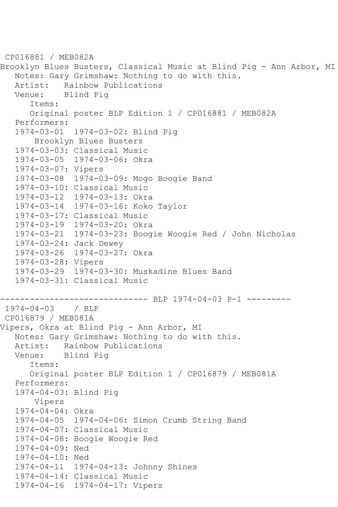```
CP016881 / MEB082A
Brooklyn Blues Busters, Classical Music at Blind Pig - Ann Arbor, MI
   Notes: Gary Grimshaw: Nothing to do with this.
  Artist: Rainbow Publications<br>Venue: Blind Pig
           Blind Pig
       Items:
       Original poster BLP Edition 1 / CP016881 / MEB082A
   Performers:
   1974-03-01 1974-03-02: Blind Pig
        Brooklyn Blues Busters
   1974-03-03: Classical Music
   1974-03-05 1974-03-06: Okra
   1974-03-07: Vipers
   1974-03-08 1974-03-09: Mogo Boogie Band
   1974-03-10: Classical Music
   1974-03-12 1974-03-13: Okra
   1974-03-14 1974-03-16: Koko Taylor
   1974-03-17: Classical Music
   1974-03-19 1974-03-20: Okra
   1974-03-21 1974-03-23: Boogie Woogie Red / John Nicholas
   1974-03-24: Jack Dewey
   1974-03-26 1974-03-27: Okra
   1974-03-28: Vipers
   1974-03-29 1974-03-30: Muskadine Blues Band
   1974-03-31: Classical Music
------------------------------ BLP 1974-04-03 P-1 ---------
1974-04-03 / BLP 
CP016879 / MEB081A
Vipers, Okra at Blind Pig - Ann Arbor, MI
   Notes: Gary Grimshaw: Nothing to do with this.
   Artist: Rainbow Publications
   Venue: Blind Pig
       Items:
       Original poster BLP Edition 1 / CP016879 / MEB081A
   Performers:
   1974-04-03: Blind Pig
        Vipers
   1974-04-04: Okra
   1974-04-05 1974-04-06: Simon Crumb String Band
   1974-04-07: Classical Music
   1974-04-08: Boogie Woogie Red
   1974-04-09: Ned
   1974-04-10: Ned
   1974-04-11 1974-04-13: Johnny Shines
   1974-04-14: Classical Music
   1974-04-16 1974-04-17: Vipers
```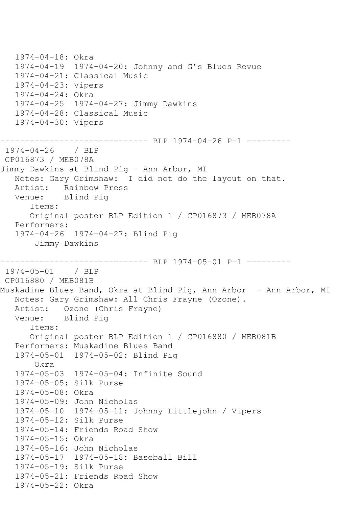```
 1974-04-18: Okra
   1974-04-19 1974-04-20: Johnny and G's Blues Revue
   1974-04-21: Classical Music
   1974-04-23: Vipers
   1974-04-24: Okra
   1974-04-25 1974-04-27: Jimmy Dawkins
   1974-04-28: Classical Music
   1974-04-30: Vipers
------------------------------ BLP 1974-04-26 P-1 ---------
1974-04-26 / BLP 
CP016873 / MEB078A
Jimmy Dawkins at Blind Pig - Ann Arbor, MI
   Notes: Gary Grimshaw: I did not do the layout on that.
   Artist: Rainbow Press
   Venue: Blind Pig
       Items:
      Original poster BLP Edition 1 / CP016873 / MEB078A
   Performers:
   1974-04-26 1974-04-27: Blind Pig
        Jimmy Dawkins
                ------------------------------ BLP 1974-05-01 P-1 ---------
1974-05-01 / BLP 
CP016880 / MEB081B
Muskadine Blues Band, Okra at Blind Pig, Ann Arbor - Ann Arbor, MI
   Notes: Gary Grimshaw: All Chris Frayne (Ozone).
   Artist: Ozone (Chris Frayne)
   Venue: Blind Pig
       Items:
      Original poster BLP Edition 1 / CP016880 / MEB081B
   Performers: Muskadine Blues Band
   1974-05-01 1974-05-02: Blind Pig
       Okra
   1974-05-03 1974-05-04: Infinite Sound
   1974-05-05: Silk Purse
   1974-05-08: Okra
   1974-05-09: John Nicholas
   1974-05-10 1974-05-11: Johnny Littlejohn / Vipers
   1974-05-12: Silk Purse
   1974-05-14: Friends Road Show
   1974-05-15: Okra
   1974-05-16: John Nicholas
   1974-05-17 1974-05-18: Baseball Bill
   1974-05-19: Silk Purse
   1974-05-21: Friends Road Show
   1974-05-22: Okra
```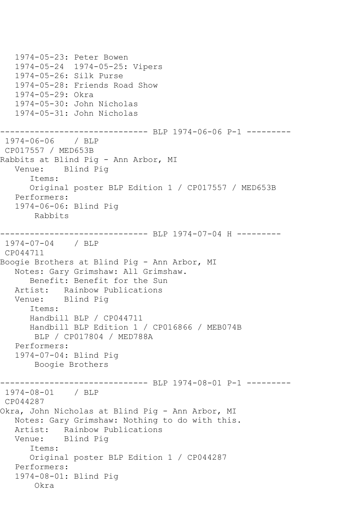1974-05-23: Peter Bowen 1974-05-24 1974-05-25: Vipers 1974-05-26: Silk Purse 1974-05-28: Friends Road Show 1974-05-29: Okra 1974-05-30: John Nicholas 1974-05-31: John Nicholas ------------------------------ BLP 1974-06-06 P-1 --------- 1974-06-06 / BLP CP017557 / MED653B Rabbits at Blind Pig - Ann Arbor, MI Venue: Blind Pig Items: Original poster BLP Edition 1 / CP017557 / MED653B Performers: 1974-06-06: Blind Pig Rabbits ------------------------------ BLP 1974-07-04 H --------- 1974-07-04 / BLP CP044711 Boogie Brothers at Blind Pig - Ann Arbor, MI Notes: Gary Grimshaw: All Grimshaw. Benefit: Benefit for the Sun Artist: Rainbow Publications Venue: Blind Pig Items: Handbill BLP / CP044711 Handbill BLP Edition 1 / CP016866 / MEB074B BLP / CP017804 / MED788A Performers: 1974-07-04: Blind Pig Boogie Brothers ------------------------------ BLP 1974-08-01 P-1 --------- 1974-08-01 / BLP CP044287 Okra, John Nicholas at Blind Pig - Ann Arbor, MI Notes: Gary Grimshaw: Nothing to do with this. Artist: Rainbow Publications Venue: Blind Pig Items: Original poster BLP Edition 1 / CP044287 Performers: 1974-08-01: Blind Pig Okra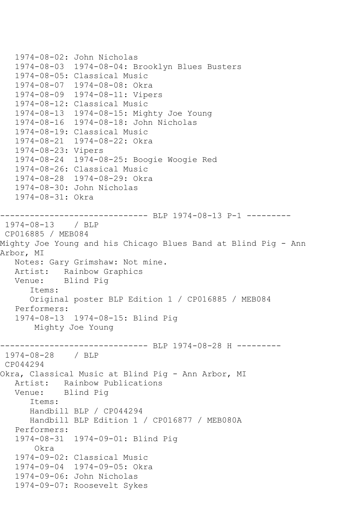```
 1974-08-02: John Nicholas
   1974-08-03 1974-08-04: Brooklyn Blues Busters
   1974-08-05: Classical Music
   1974-08-07 1974-08-08: Okra
   1974-08-09 1974-08-11: Vipers
   1974-08-12: Classical Music
   1974-08-13 1974-08-15: Mighty Joe Young
   1974-08-16 1974-08-18: John Nicholas
   1974-08-19: Classical Music
   1974-08-21 1974-08-22: Okra
   1974-08-23: Vipers
   1974-08-24 1974-08-25: Boogie Woogie Red
   1974-08-26: Classical Music
   1974-08-28 1974-08-29: Okra
   1974-08-30: John Nicholas
   1974-08-31: Okra
------------------------------ BLP 1974-08-13 P-1 ---------
1974-08-13 / BLP 
CP016885 / MEB084
Mighty Joe Young and his Chicago Blues Band at Blind Pig - Ann 
Arbor, MI
   Notes: Gary Grimshaw: Not mine.
   Artist: Rainbow Graphics
   Venue: Blind Pig
       Items:
       Original poster BLP Edition 1 / CP016885 / MEB084
   Performers:
   1974-08-13 1974-08-15: Blind Pig
       Mighty Joe Young
------------------------------ BLP 1974-08-28 H ---------
1974-08-28 / BLP 
CP044294
Okra, Classical Music at Blind Pig - Ann Arbor, MI
   Artist: Rainbow Publications
   Venue: Blind Pig
       Items:
      Handbill BLP / CP044294
      Handbill BLP Edition 1 / CP016877 / MEB080A
   Performers:
   1974-08-31 1974-09-01: Blind Pig
       Okra
   1974-09-02: Classical Music
   1974-09-04 1974-09-05: Okra
   1974-09-06: John Nicholas
   1974-09-07: Roosevelt Sykes
```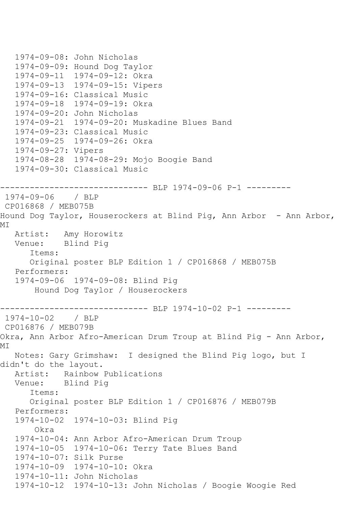```
 1974-09-08: John Nicholas
   1974-09-09: Hound Dog Taylor
   1974-09-11 1974-09-12: Okra
   1974-09-13 1974-09-15: Vipers
   1974-09-16: Classical Music
   1974-09-18 1974-09-19: Okra
   1974-09-20: John Nicholas
   1974-09-21 1974-09-20: Muskadine Blues Band
   1974-09-23: Classical Music
   1974-09-25 1974-09-26: Okra
   1974-09-27: Vipers
   1974-08-28 1974-08-29: Mojo Boogie Band
   1974-09-30: Classical Music
           ------------------------------ BLP 1974-09-06 P-1 ---------
1974-09-06 / BLP 
CP016868 / MEB075B
Hound Dog Taylor, Houserockers at Blind Pig, Ann Arbor - Ann Arbor, 
MI
   Artist: Amy Horowitz
   Venue: Blind Pig
       Items:
      Original poster BLP Edition 1 / CP016868 / MEB075B
   Performers:
   1974-09-06 1974-09-08: Blind Pig
        Hound Dog Taylor / Houserockers
------------------------------ BLP 1974-10-02 P-1 ---------
1974-10-02 / BLP 
CP016876 / MEB079B
Okra, Ann Arbor Afro-American Drum Troup at Blind Pig - Ann Arbor, 
MI
   Notes: Gary Grimshaw: I designed the Blind Pig logo, but I 
didn't do the layout.
   Artist: Rainbow Publications
   Venue: Blind Pig
       Items:
      Original poster BLP Edition 1 / CP016876 / MEB079B
   Performers:
   1974-10-02 1974-10-03: Blind Pig
       Okra
   1974-10-04: Ann Arbor Afro-American Drum Troup
   1974-10-05 1974-10-06: Terry Tate Blues Band
   1974-10-07: Silk Purse
   1974-10-09 1974-10-10: Okra
   1974-10-11: John Nicholas
   1974-10-12 1974-10-13: John Nicholas / Boogie Woogie Red
```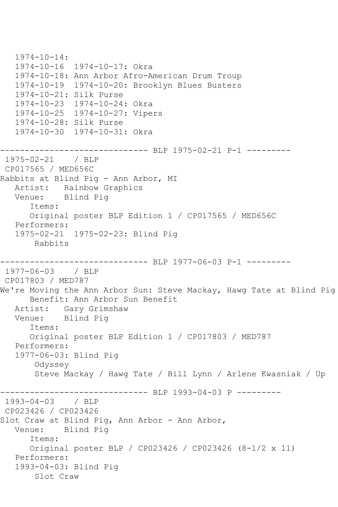```
 1974-10-14:
   1974-10-16 1974-10-17: Okra
   1974-10-18: Ann Arbor Afro-American Drum Troup
   1974-10-19 1974-10-20: Brooklyn Blues Busters
   1974-10-21: Silk Purse
 1974-10-23 1974-10-24: Okra
 1974-10-25 1974-10-27: Vipers
   1974-10-28: Silk Purse
   1974-10-30 1974-10-31: Okra
------------------------------ BLP 1975-02-21 P-1 ---------
1975-02-21 / BLP 
CP017565 / MED656C
Rabbits at Blind Pig - Ann Arbor, MI
   Artist: Rainbow Graphics
   Venue: Blind Pig
      Items:
      Original poster BLP Edition 1 / CP017565 / MED656C
   Performers:
   1975-02-21 1975-02-23: Blind Pig
       Rabbits
------------------------------ BLP 1977-06-03 P-1 ---------
1977-06-03 / BLP 
CP017803 / MED787
We're Moving the Ann Arbor Sun: Steve Mackay, Hawg Tate at Blind Pig
      Benefit: Ann Arbor Sun Benefit
   Artist: Gary Grimshaw
   Venue: Blind Pig
      Items:
      Original poster BLP Edition 1 / CP017803 / MED787
   Performers:
   1977-06-03: Blind Pig
       Odyssey
       Steve Mackay / Hawg Tate / Bill Lynn / Arlene Kwasniak / Up
------------------------------ BLP 1993-04-03 P ---------
1993-04-03 / BLP 
CP023426 / CP023426
Slot Craw at Blind Pig, Ann Arbor - Ann Arbor,
   Venue: Blind Pig
      Items:
      Original poster BLP / CP023426 / CP023426 (8-1/2 x 11)
   Performers:
   1993-04-03: Blind Pig
       Slot Craw
```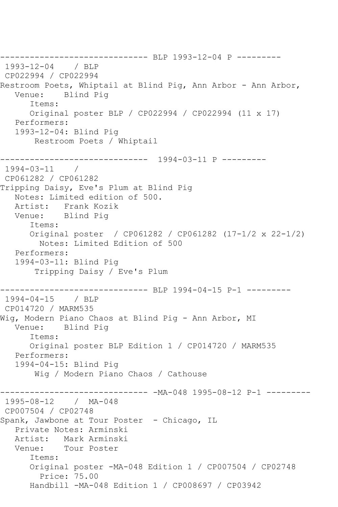------------------------------ BLP 1993-12-04 P --------- 1993-12-04 / BLP CP022994 / CP022994 Restroom Poets, Whiptail at Blind Pig, Ann Arbor - Ann Arbor, Venue: Blind Pig Items: Original poster BLP / CP022994 / CP022994 (11 x 17) Performers: 1993-12-04: Blind Pig Restroom Poets / Whiptail ------------------------------ 1994-03-11 P ---------  $1994 - 03 - 11$ CP061282 / CP061282 Tripping Daisy, Eve's Plum at Blind Pig Notes: Limited edition of 500. Artist: Frank Kozik<br>Venue: Blind Piq Blind Pig Items: Original poster / CP061282 / CP061282 (17-1/2 x 22-1/2) Notes: Limited Edition of 500 Performers: 1994-03-11: Blind Pig Tripping Daisy / Eve's Plum ------------------------------ BLP 1994-04-15 P-1 --------- 1994-04-15 / BLP CP014720 / MARM535 Wig, Modern Piano Chaos at Blind Pig - Ann Arbor, MI Venue: Blind Pig Items: Original poster BLP Edition 1 / CP014720 / MARM535 Performers: 1994-04-15: Blind Pig Wig / Modern Piano Chaos / Cathouse ------------------------------ -MA-048 1995-08-12 P-1 --------- 1995-08-12 / MA-048 CP007504 / CP02748 Spank, Jawbone at Tour Poster - Chicago, IL Private Notes: Arminski Artist: Mark Arminski Venue: Tour Poster Items: Original poster -MA-048 Edition 1 / CP007504 / CP02748 Price: 75.00 Handbill -MA-048 Edition 1 / CP008697 / CP03942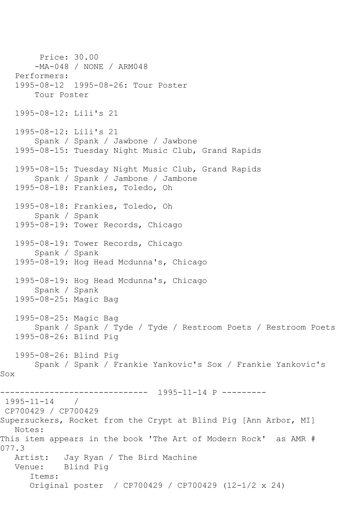Price: 30.00 -MA-048 / NONE / ARM048 Performers: 1995-08-12 1995-08-26: Tour Poster Tour Poster 1995-08-12: Lili's 21 1995-08-12: Lili's 21 Spank / Spank / Jawbone / Jawbone 1995-08-15: Tuesday Night Music Club, Grand Rapids 1995-08-15: Tuesday Night Music Club, Grand Rapids Spank / Spank / Jambone / Jambone 1995-08-18: Frankies, Toledo, Oh 1995-08-18: Frankies, Toledo, Oh Spank / Spank 1995-08-19: Tower Records, Chicago 1995-08-19: Tower Records, Chicago Spank / Spank 1995-08-19: Hog Head Mcdunna's, Chicago 1995-08-19: Hog Head Mcdunna's, Chicago Spank / Spank 1995-08-25: Magic Bag 1995-08-25: Magic Bag Spank / Spank / Tyde / Tyde / Restroom Poets / Restroom Poets 1995-08-26: Blind Pig 1995-08-26: Blind Pig Spank / Spank / Frankie Yankovic's Sox / Frankie Yankovic's Sox ------------------------------ 1995-11-14 P --------- 1995-11-14 / CP700429 / CP700429 Supersuckers, Rocket from the Crypt at Blind Pig [Ann Arbor, MI] Notes: This item appears in the book 'The Art of Modern Rock' as AMR # 077.3 Artist: Jay Ryan / The Bird Machine Venue: Blind Pig Items: Original poster / CP700429 / CP700429 (12-1/2 x 24)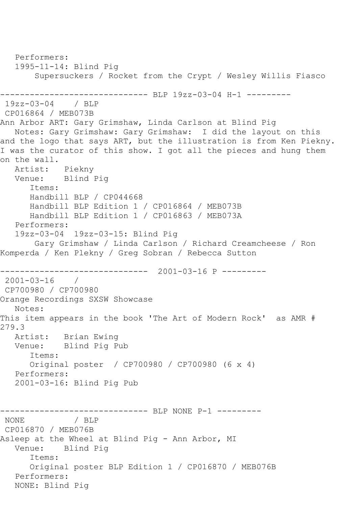Performers: 1995-11-14: Blind Pig Supersuckers / Rocket from the Crypt / Wesley Willis Fiasco ------------------------------ BLP 19zz-03-04 H-1 --------- 19zz-03-04 / BLP CP016864 / MEB073B Ann Arbor ART: Gary Grimshaw, Linda Carlson at Blind Pig Notes: Gary Grimshaw: Gary Grimshaw: I did the layout on this and the logo that says ART, but the illustration is from Ken Piekny. I was the curator of this show. I got all the pieces and hung them on the wall. Artist: Piekny Venue: Blind Pig Items: Handbill BLP / CP044668 Handbill BLP Edition 1 / CP016864 / MEB073B Handbill BLP Edition 1 / CP016863 / MEB073A Performers: 19zz-03-04 19zz-03-15: Blind Pig Gary Grimshaw / Linda Carlson / Richard Creamcheese / Ron Komperda / Ken Plekny / Greg Sobran / Rebecca Sutton ------------------------------ 2001-03-16 P --------- 2001-03-16 / CP700980 / CP700980 Orange Recordings SXSW Showcase Notes: This item appears in the book 'The Art of Modern Rock' as AMR # 279.3<br>Artist: Brian Ewing Venue: Blind Pig Pub Items: Original poster / CP700980 / CP700980 (6 x 4) Performers: 2001-03-16: Blind Pig Pub ------------------------------ BLP NONE P-1 --------- / BLP CP016870 / MEB076B Asleep at the Wheel at Blind Pig - Ann Arbor, MI Venue: Blind Pig Items: Original poster BLP Edition 1 / CP016870 / MEB076B Performers: NONE: Blind Pig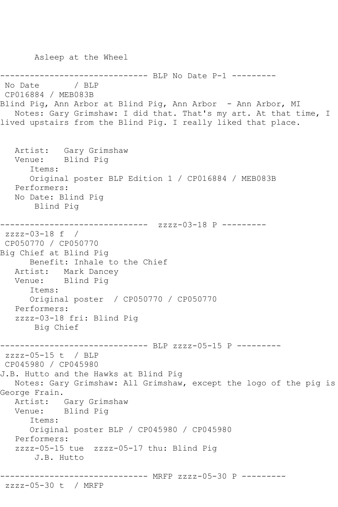Asleep at the Wheel ----------- BLP No Date P-1 ---------No Date / BLP CP016884 / MEB083B Blind Pig, Ann Arbor at Blind Pig, Ann Arbor - Ann Arbor, MI Notes: Gary Grimshaw: I did that. That's my art. At that time, I lived upstairs from the Blind Pig. I really liked that place. Artist: Gary Grimshaw Venue: Blind Pig Items: Original poster BLP Edition 1 / CP016884 / MEB083B Performers: No Date: Blind Pig Blind Pig ------------------------------ zzzz-03-18 P -------- zzzz-03-18 f / CP050770 / CP050770 Big Chief at Blind Pig Benefit: Inhale to the Chief Artist: Mark Dancey Venue: Blind Pig Items: Original poster / CP050770 / CP050770 Performers: zzzz-03-18 fri: Blind Pig Big Chief ------------------------------ BLP zzzz-05-15 P -------- zzzz-05-15 t / BLP CP045980 / CP045980 J.B. Hutto and the Hawks at Blind Pig Notes: Gary Grimshaw: All Grimshaw, except the logo of the pig is George Frain. Artist: Gary Grimshaw Venue: Blind Pig Items: Original poster BLP / CP045980 / CP045980 Performers: zzzz-05-15 tue zzzz-05-17 thu: Blind Pig J.B. Hutto ------------------------------ MRFP zzzz-05-30 P -------- zzzz-05-30 t / MRFP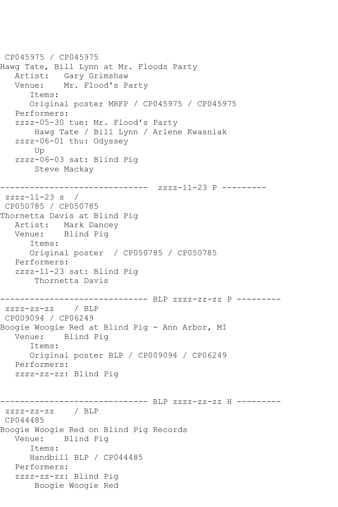```
CP045975 / CP045975
Hawg Tate, Bill Lynn at Mr. Floods Party
   Artist: Gary Grimshaw
   Venue: Mr. Flood's Party
      Items:
      Original poster MRFP / CP045975 / CP045975
   Performers:
   zzzz-05-30 tue: Mr. Flood's Party
       Hawg Tate / Bill Lynn / Arlene Kwasniak
   zzzz-06-01 thu: Odyssey
       Up
   zzzz-06-03 sat: Blind Pig
       Steve Mackay
------------------------------ zzzz-11-23 P ---------
zzzz-11-23 s /
CP050785 / CP050785
Thornetta Davis at Blind Pig
   Artist: Mark Dancey
   Venue: Blind Pig
      Items:
      Original poster / CP050785 / CP050785
   Performers:
   zzzz-11-23 sat: Blind Pig
       Thornetta Davis
------------------------------ BLP zzzz-zz-zz P ---------
zzzz-zz-zz / BLP 
CP009094 / CP06249
Boogie Woogie Red at Blind Pig - Ann Arbor, MI
   Venue: Blind Pig
      Items:
      Original poster BLP / CP009094 / CP06249
   Performers:
   zzzz-zz-zz: Blind Pig
------------------------------ BLP zzzz-zz-zz H ---------
zzzz-zz-zz / BLP 
CP044485
Boogie Woogie Red on Blind Pig Records
   Venue: Blind Pig
      Items:
      Handbill BLP / CP044485
   Performers:
   zzzz-zz-zz: Blind Pig
       Boogie Woogie Red
```